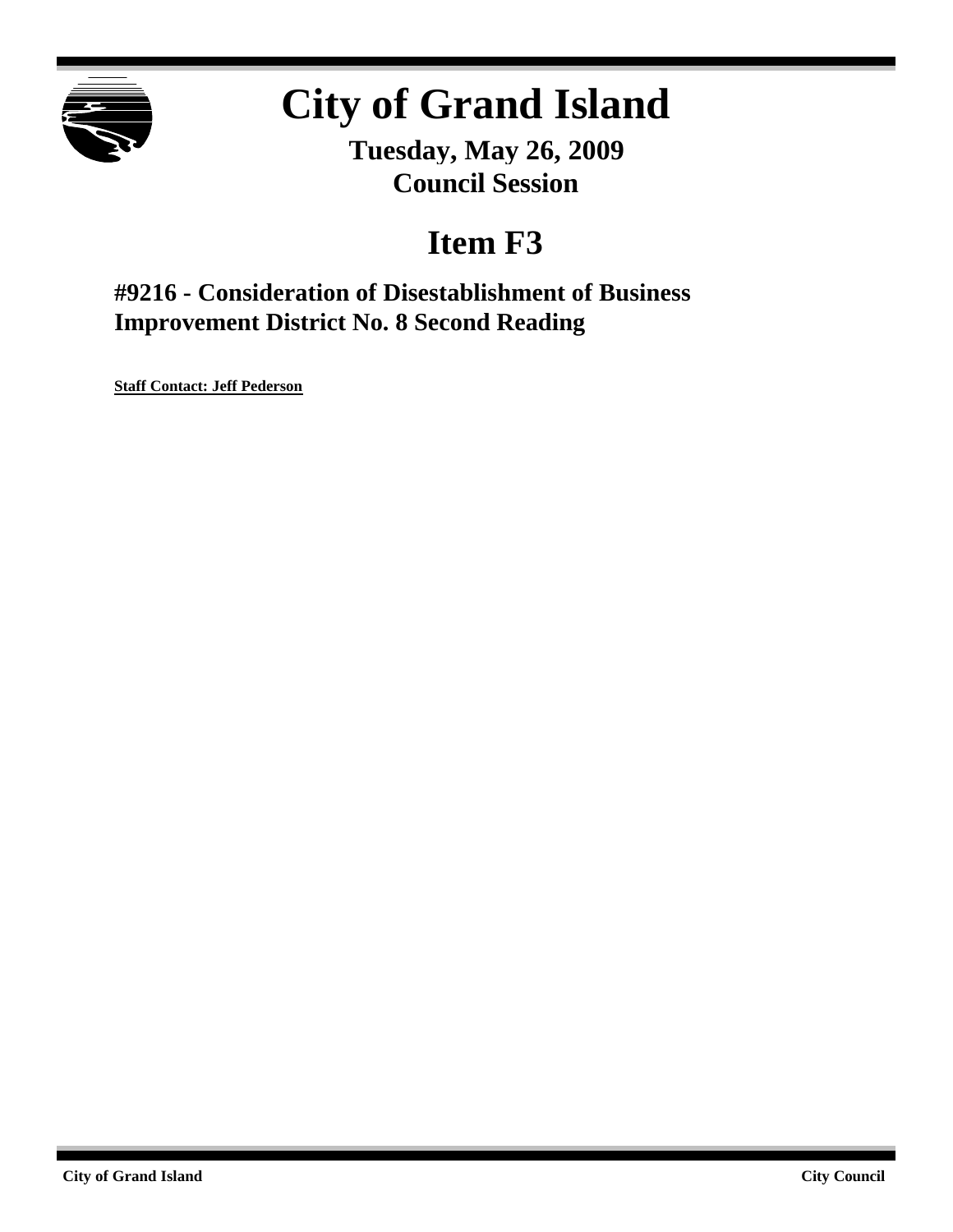

# **City of Grand Island**

**Tuesday, May 26, 2009 Council Session**

## **Item F3**

**#9216 - Consideration of Disestablishment of Business Improvement District No. 8 Second Reading**

**Staff Contact: Jeff Pederson**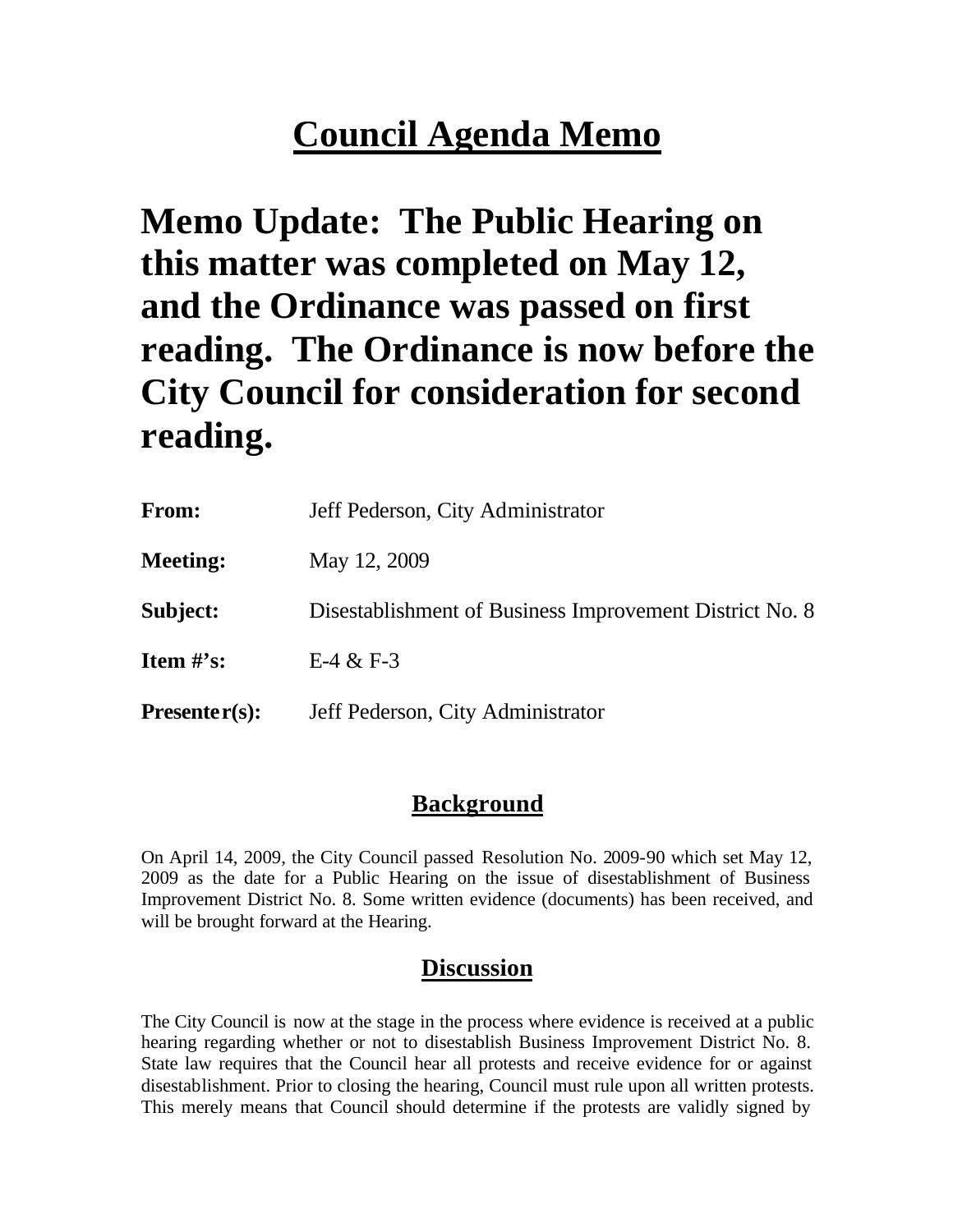## **Council Agenda Memo**

**Memo Update: The Public Hearing on this matter was completed on May 12, and the Ordinance was passed on first reading. The Ordinance is now before the City Council for consideration for second reading.**

**From:** Jeff Pederson, City Administrator **Meeting:** May 12, 2009 **Subject:** Disestablishment of Business Improvement District No. 8 **Item #'s:** E-4 & F-3 **Presenter(s):** Jeff Pederson, City Administrator

### **Background**

On April 14, 2009, the City Council passed Resolution No. 2009-90 which set May 12, 2009 as the date for a Public Hearing on the issue of disestablishment of Business Improvement District No. 8. Some written evidence (documents) has been received, and will be brought forward at the Hearing.

## **Discussion**

The City Council is now at the stage in the process where evidence is received at a public hearing regarding whether or not to disestablish Business Improvement District No. 8. State law requires that the Council hear all protests and receive evidence for or against disestablishment. Prior to closing the hearing, Council must rule upon all written protests. This merely means that Council should determine if the protests are validly signed by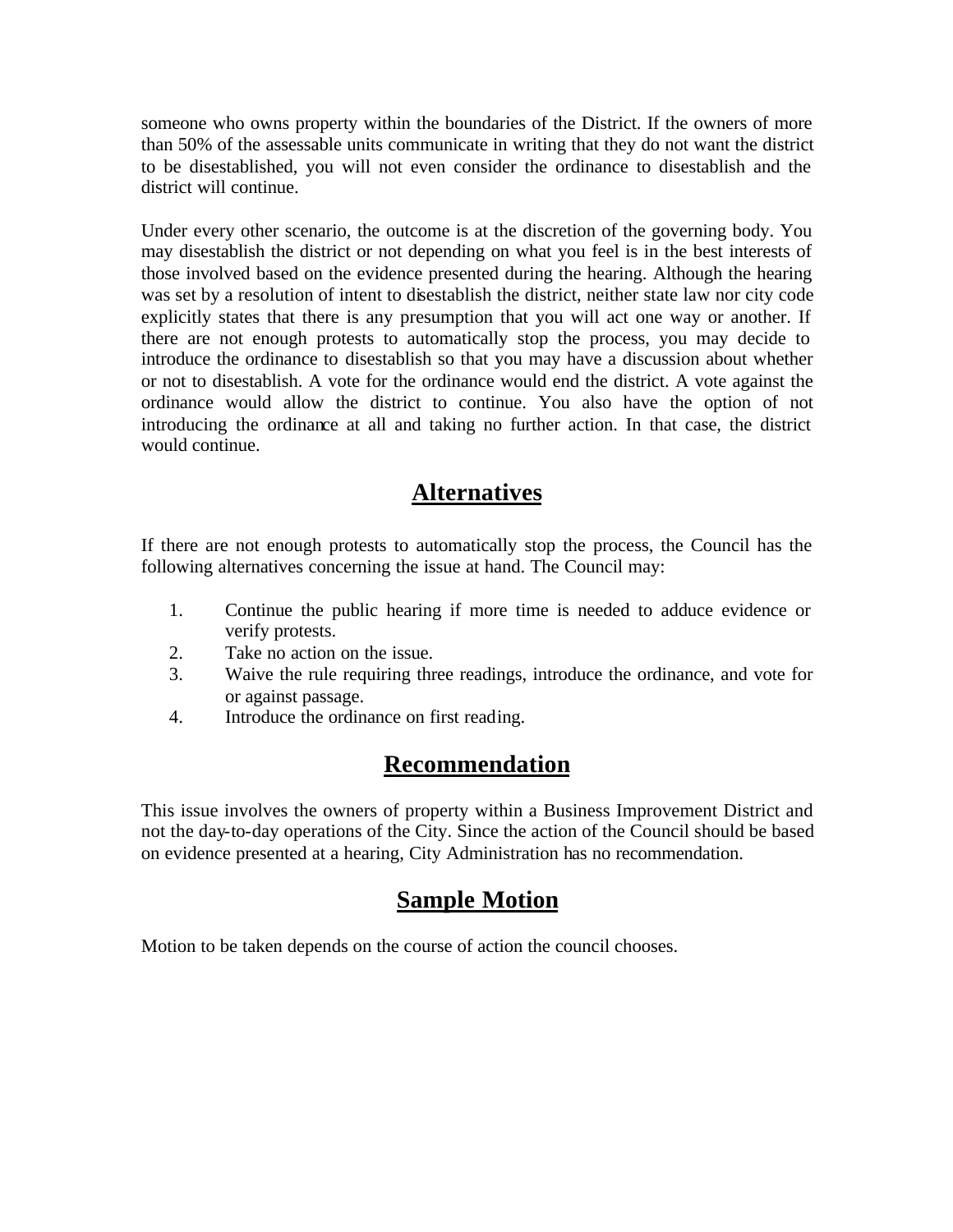someone who owns property within the boundaries of the District. If the owners of more than 50% of the assessable units communicate in writing that they do not want the district to be disestablished, you will not even consider the ordinance to disestablish and the district will continue.

Under every other scenario, the outcome is at the discretion of the governing body. You may disestablish the district or not depending on what you feel is in the best interests of those involved based on the evidence presented during the hearing. Although the hearing was set by a resolution of intent to disestablish the district, neither state law nor city code explicitly states that there is any presumption that you will act one way or another. If there are not enough protests to automatically stop the process, you may decide to introduce the ordinance to disestablish so that you may have a discussion about whether or not to disestablish. A vote for the ordinance would end the district. A vote against the ordinance would allow the district to continue. You also have the option of not introducing the ordinance at all and taking no further action. In that case, the district would continue.

### **Alternatives**

If there are not enough protests to automatically stop the process, the Council has the following alternatives concerning the issue at hand. The Council may:

- 1. Continue the public hearing if more time is needed to adduce evidence or verify protests.
- 2. Take no action on the issue.
- 3. Waive the rule requiring three readings, introduce the ordinance, and vote for or against passage.
- 4. Introduce the ordinance on first reading.

### **Recommendation**

This issue involves the owners of property within a Business Improvement District and not the day-to-day operations of the City. Since the action of the Council should be based on evidence presented at a hearing, City Administration has no recommendation.

### **Sample Motion**

Motion to be taken depends on the course of action the council chooses.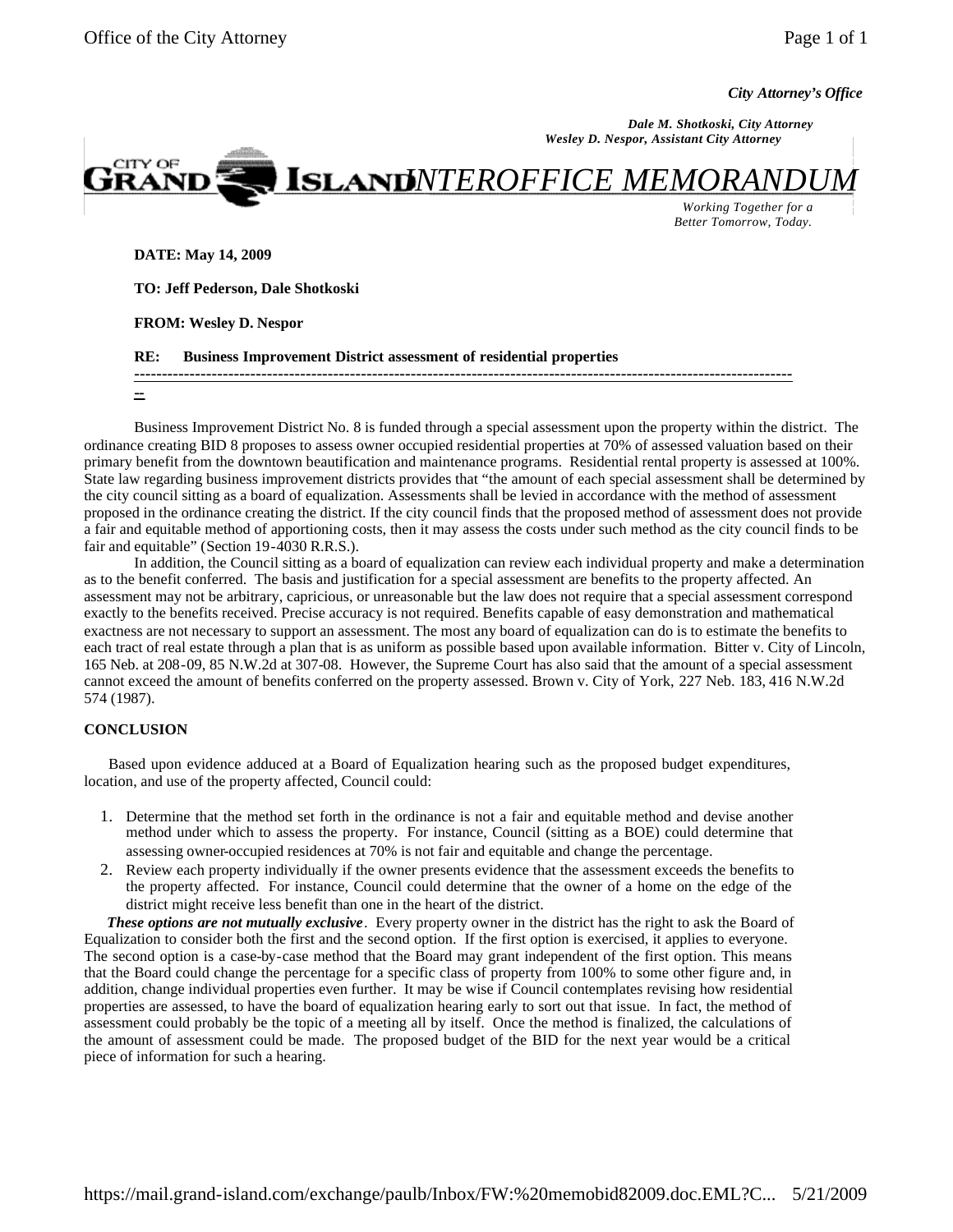*City Attorney's Office*

 *Dale M. Shotkoski, City Attorney Wesley D. Nespor, Assistant City Attorney* 



*Working Together for a Better Tomorrow, Today.*

**DATE: May 14, 2009** 

**TO: Jeff Pederson, Dale Shotkoski** 

**FROM: Wesley D. Nespor**

**RE: Business Improvement District assessment of residential properties** 

**-----------------------------------------------------------------------------------------------------------------------**

**--**

Business Improvement District No. 8 is funded through a special assessment upon the property within the district. The ordinance creating BID 8 proposes to assess owner occupied residential properties at 70% of assessed valuation based on their primary benefit from the downtown beautification and maintenance programs. Residential rental property is assessed at 100%. State law regarding business improvement districts provides that "the amount of each special assessment shall be determined by the city council sitting as a board of equalization. Assessments shall be levied in accordance with the method of assessment proposed in the ordinance creating the district. If the city council finds that the proposed method of assessment does not provide a fair and equitable method of apportioning costs, then it may assess the costs under such method as the city council finds to be fair and equitable" (Section 19-4030 R.R.S.).

In addition, the Council sitting as a board of equalization can review each individual property and make a determination as to the benefit conferred. The basis and justification for a special assessment are benefits to the property affected. An assessment may not be arbitrary, capricious, or unreasonable but the law does not require that a special assessment correspond exactly to the benefits received. Precise accuracy is not required. Benefits capable of easy demonstration and mathematical exactness are not necessary to support an assessment. The most any board of equalization can do is to estimate the benefits to each tract of real estate through a plan that is as uniform as possible based upon available information. Bitter v. City of Lincoln, 165 Neb. at 208-09, 85 N.W.2d at 307-08. However, the Supreme Court has also said that the amount of a special assessment cannot exceed the amount of benefits conferred on the property assessed. Brown v. City of York, 227 Neb. 183, 416 N.W.2d 574 (1987).

#### **CONCLUSION**

 Based upon evidence adduced at a Board of Equalization hearing such as the proposed budget expenditures, location, and use of the property affected, Council could:

- 1. Determine that the method set forth in the ordinance is not a fair and equitable method and devise another method under which to assess the property. For instance, Council (sitting as a BOE) could determine that assessing owner-occupied residences at 70% is not fair and equitable and change the percentage.
- 2. Review each property individually if the owner presents evidence that the assessment exceeds the benefits to the property affected. For instance, Council could determine that the owner of a home on the edge of the district might receive less benefit than one in the heart of the district.

 *These options are not mutually exclusive*. Every property owner in the district has the right to ask the Board of Equalization to consider both the first and the second option. If the first option is exercised, it applies to everyone. The second option is a case-by-case method that the Board may grant independent of the first option. This means that the Board could change the percentage for a specific class of property from 100% to some other figure and, in addition, change individual properties even further. It may be wise if Council contemplates revising how residential properties are assessed, to have the board of equalization hearing early to sort out that issue. In fact, the method of assessment could probably be the topic of a meeting all by itself. Once the method is finalized, the calculations of the amount of assessment could be made. The proposed budget of the BID for the next year would be a critical piece of information for such a hearing.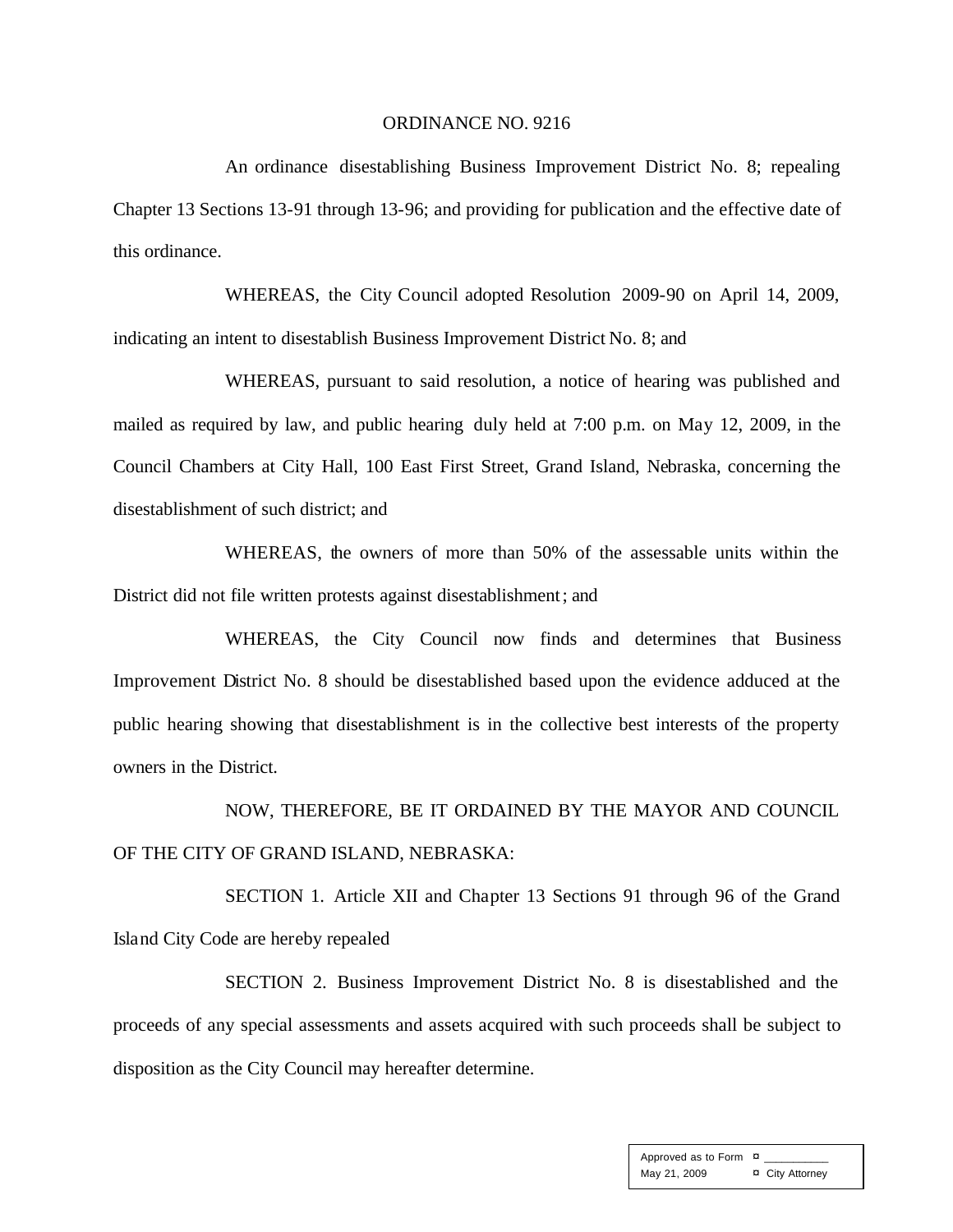#### ORDINANCE NO. 9216

An ordinance disestablishing Business Improvement District No. 8; repealing Chapter 13 Sections 13-91 through 13-96; and providing for publication and the effective date of this ordinance.

WHEREAS, the City Council adopted Resolution 2009-90 on April 14, 2009, indicating an intent to disestablish Business Improvement District No. 8; and

WHEREAS, pursuant to said resolution, a notice of hearing was published and mailed as required by law, and public hearing duly held at 7:00 p.m. on May 12, 2009, in the Council Chambers at City Hall, 100 East First Street, Grand Island, Nebraska, concerning the disestablishment of such district; and

WHEREAS, the owners of more than 50% of the assessable units within the District did not file written protests against disestablishment; and

WHEREAS, the City Council now finds and determines that Business Improvement District No. 8 should be disestablished based upon the evidence adduced at the public hearing showing that disestablishment is in the collective best interests of the property owners in the District.

NOW, THEREFORE, BE IT ORDAINED BY THE MAYOR AND COUNCIL OF THE CITY OF GRAND ISLAND, NEBRASKA:

SECTION 1. Article XII and Chapter 13 Sections 91 through 96 of the Grand Island City Code are hereby repealed

SECTION 2. Business Improvement District No. 8 is disestablished and the proceeds of any special assessments and assets acquired with such proceeds shall be subject to disposition as the City Council may hereafter determine.